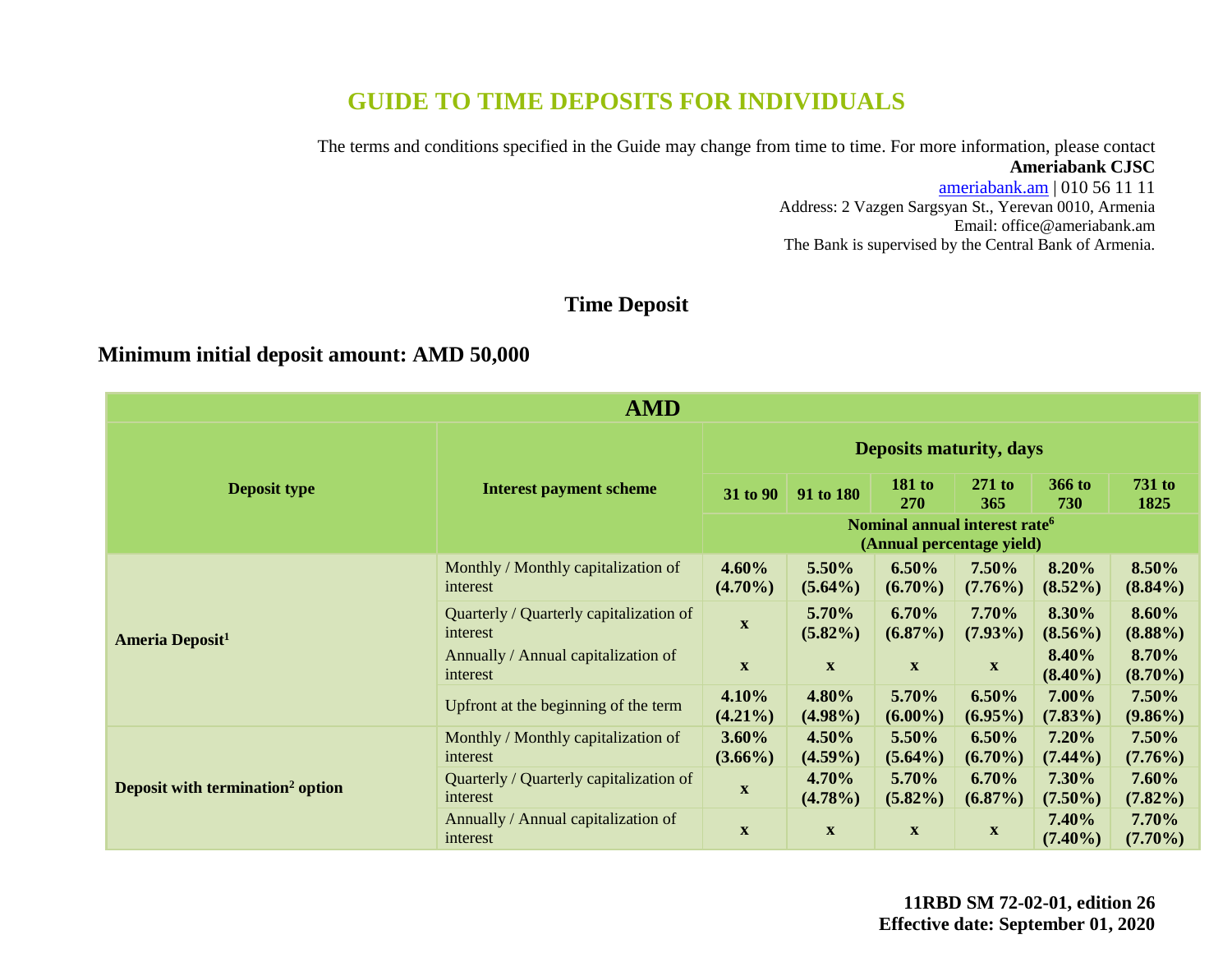# **GUIDE TO TIME DEPOSITS FOR INDIVIDUALS**

The terms and conditions specified in the Guide may change from time to time. For more information, please contact **Ameriabank CJSC**

> [ameriabank.am](https://ameriabank.am/default.aspx?lang=28) | 010 56 11 11 Address: 2 Vazgen Sargsyan St., Yerevan 0010, Armenia Email: [office@ameriabank.am](file://///192.168.200.50/users%20ameriabank/01.%20DEVELOPMENT%20DEPARTMENT/2.%20MARKETING%20&%20PR/2020/Gayane%20Ghazazyan/Updates/Deposits/Deposits%2001.09.20_26%20ed/office@ameriabank.am) The Bank is supervised by the Central Bank of Armenia.

## **Time Deposit**

### **Minimum initial deposit amount: AMD 50,000**

| <b>AMD</b>                                   |                                                     |                                |                                                                        |                           |                           |                     |                        |
|----------------------------------------------|-----------------------------------------------------|--------------------------------|------------------------------------------------------------------------|---------------------------|---------------------------|---------------------|------------------------|
|                                              | <b>Interest payment scheme</b>                      | <b>Deposits maturity, days</b> |                                                                        |                           |                           |                     |                        |
| <b>Deposit type</b>                          |                                                     | 31 to 90                       | 91 to 180                                                              | <b>181 to</b><br>270      | $271$ to<br>365           | 366 to<br>730       | <b>731 to</b><br>1825  |
|                                              |                                                     |                                | Nominal annual interest rate <sup>6</sup><br>(Annual percentage yield) |                           |                           |                     |                        |
| <b>Ameria Deposit<sup>1</sup></b>            | Monthly / Monthly capitalization of<br>interest     | 4.60%<br>$(4.70\%)$            | 5.50%<br>$(5.64\%)$                                                    | 6.50%<br>$(6.70\%)$       | 7.50%<br>$(7.76\%)$       | 8.20%<br>$(8.52\%)$ | 8.50%<br>$(8.84\%)$    |
|                                              | Quarterly / Quarterly capitalization of<br>interest | X                              | 5.70%<br>$(5.82\%)$                                                    | 6.70%<br>$(6.87\%)$       | 7.70%<br>$(7.93\%)$       | 8.30%<br>$(8.56\%)$ | 8.60%<br>$(8.88\%)$    |
|                                              | Annually / Annual capitalization of<br>interest     | $\mathbf{X}$                   | $\mathbf X$                                                            | $\mathbf X$               | $\mathbf X$               | 8.40%<br>$(8.40\%)$ | 8.70%<br>$(8.70\%)$    |
|                                              | Upfront at the beginning of the term                | 4.10%<br>$(4.21\%)$            | 4.80%<br>$(4.98\%)$                                                    | 5.70%<br>$(6.00\%)$       | 6.50%<br>$(6.95\%)$       | 7.00%<br>$(7.83\%)$ | $7.50\%$<br>$(9.86\%)$ |
| Deposit with termination <sup>2</sup> option | Monthly / Monthly capitalization of<br>interest     | $3.60\%$<br>$(3.66\%)$         | 4.50%<br>$(4.59\%)$                                                    | 5.50%<br>$(5.64\%)$       | 6.50%<br>$(6.70\%)$       | 7.20%<br>$(7.44\%)$ | 7.50%<br>$(7.76\%)$    |
|                                              | Quarterly / Quarterly capitalization of<br>interest | $\mathbf{X}$                   | 4.70%<br>$(4.78\%)$                                                    | 5.70%<br>$(5.82\%)$       | 6.70%<br>$(6.87\%)$       | 7.30%<br>$(7.50\%)$ | 7.60%<br>$(7.82\%)$    |
|                                              | Annually / Annual capitalization of<br>interest     | $\boldsymbol{\mathrm{X}}$      | $\mathbf{X}$                                                           | $\boldsymbol{\mathrm{X}}$ | $\boldsymbol{\mathrm{X}}$ | 7.40%<br>$(7.40\%)$ | 7.70%<br>$(7.70\%)$    |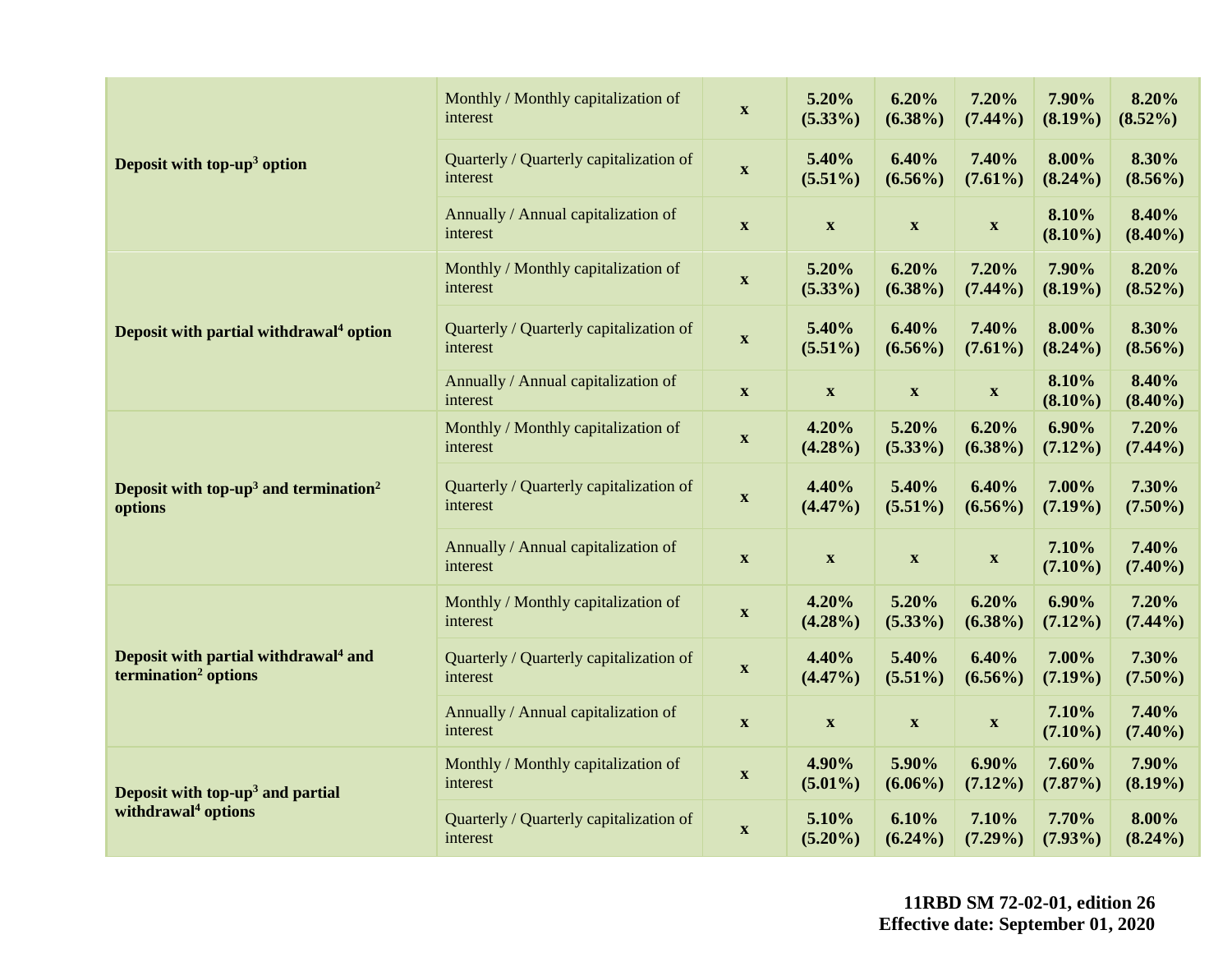|                                                                                      | Monthly / Monthly capitalization of<br>interest     | $\mathbf{X}$              | 5.20%<br>$(5.33\%)$       | 6.20%<br>$(6.38\%)$       | 7.20%<br>$(7.44\%)$       | 7.90%<br>$(8.19\%)$    | 8.20%<br>$(8.52\%)$    |
|--------------------------------------------------------------------------------------|-----------------------------------------------------|---------------------------|---------------------------|---------------------------|---------------------------|------------------------|------------------------|
| Deposit with top-up <sup>3</sup> option                                              | Quarterly / Quarterly capitalization of<br>interest | $\boldsymbol{\mathrm{X}}$ | 5.40%<br>$(5.51\%)$       | 6.40%<br>$(6.56\%)$       | 7.40%<br>$(7.61\%)$       | 8.00%<br>$(8.24\%)$    | 8.30%<br>$(8.56\%)$    |
|                                                                                      | Annually / Annual capitalization of<br>interest     | $\mathbf{X}$              | $\mathbf X$               | $\boldsymbol{\mathrm{X}}$ | $\mathbf X$               | 8.10%<br>$(8.10\%)$    | 8.40%<br>$(8.40\%)$    |
|                                                                                      | Monthly / Monthly capitalization of<br>interest     | $\boldsymbol{\mathrm{X}}$ | 5.20%<br>$(5.33\%)$       | 6.20%<br>$(6.38\%)$       | 7.20%<br>$(7.44\%)$       | 7.90%<br>$(8.19\%)$    | 8.20%<br>$(8.52\%)$    |
| Deposit with partial withdrawal <sup>4</sup> option                                  | Quarterly / Quarterly capitalization of<br>interest | $\mathbf{X}$              | 5.40%<br>$(5.51\%)$       | 6.40%<br>$(6.56\%)$       | 7.40%<br>$(7.61\%)$       | 8.00%<br>$(8.24\%)$    | 8.30%<br>$(8.56\%)$    |
|                                                                                      | Annually / Annual capitalization of<br>interest     | $\mathbf{X}$              | $\mathbf X$               | $\boldsymbol{\mathrm{X}}$ | $\mathbf X$               | 8.10%<br>$(8.10\%)$    | 8.40%<br>$(8.40\%)$    |
|                                                                                      | Monthly / Monthly capitalization of<br>interest     | $\mathbf{X}$              | 4.20%<br>$(4.28\%)$       | 5.20%<br>$(5.33\%)$       | 6.20%<br>$(6.38\%)$       | $6.90\%$<br>$(7.12\%)$ | 7.20%<br>$(7.44\%)$    |
| Deposit with top-up <sup>3</sup> and termination <sup>2</sup><br>options             | Quarterly / Quarterly capitalization of<br>interest | $\boldsymbol{\mathrm{X}}$ | 4.40%<br>$(4.47\%)$       | 5.40%<br>$(5.51\%)$       | 6.40%<br>$(6.56\%)$       | 7.00%<br>$(7.19\%)$    | 7.30%<br>$(7.50\%)$    |
|                                                                                      | Annually / Annual capitalization of<br>interest     | $\mathbf{X}$              | $\boldsymbol{\mathrm{X}}$ | $\boldsymbol{\mathrm{X}}$ | $\mathbf X$               | 7.10%<br>$(7.10\%)$    | 7.40%<br>$(7.40\%)$    |
| Deposit with partial withdrawal <sup>4</sup> and<br>termination <sup>2</sup> options | Monthly / Monthly capitalization of<br>interest     | $\mathbf X$               | 4.20%<br>$(4.28\%)$       | 5.20%<br>$(5.33\%)$       | 6.20%<br>$(6.38\%)$       | $6.90\%$<br>$(7.12\%)$ | 7.20%<br>$(7.44\%)$    |
|                                                                                      | Quarterly / Quarterly capitalization of<br>interest | $\mathbf{X}$              | 4.40%<br>$(4.47\%)$       | 5.40%<br>$(5.51\%)$       | 6.40%<br>$(6.56\%)$       | 7.00%<br>$(7.19\%)$    | 7.30%<br>$(7.50\%)$    |
|                                                                                      | Annually / Annual capitalization of<br>interest     | $\boldsymbol{\mathrm{X}}$ | $\boldsymbol{\mathrm{X}}$ | $\boldsymbol{\mathrm{X}}$ | $\boldsymbol{\mathrm{X}}$ | 7.10%<br>$(7.10\%)$    | 7.40%<br>$(7.40\%)$    |
| Deposit with top-up <sup>3</sup> and partial                                         | Monthly / Monthly capitalization of<br>interest     | $\boldsymbol{\mathrm{X}}$ | 4.90%<br>$(5.01\%)$       | 5.90%<br>$(6.06\%)$       | $6.90\%$<br>$(7.12\%)$    | 7.60%<br>$(7.87\%)$    | 7.90%<br>$(8.19\%)$    |
| withdrawal <sup>4</sup> options                                                      | Quarterly / Quarterly capitalization of<br>interest | $\mathbf{X}$              | 5.10%<br>$(5.20\%)$       | 6.10%<br>$(6.24\%)$       | 7.10%<br>$(7.29\%)$       | 7.70%<br>$(7.93\%)$    | $8.00\%$<br>$(8.24\%)$ |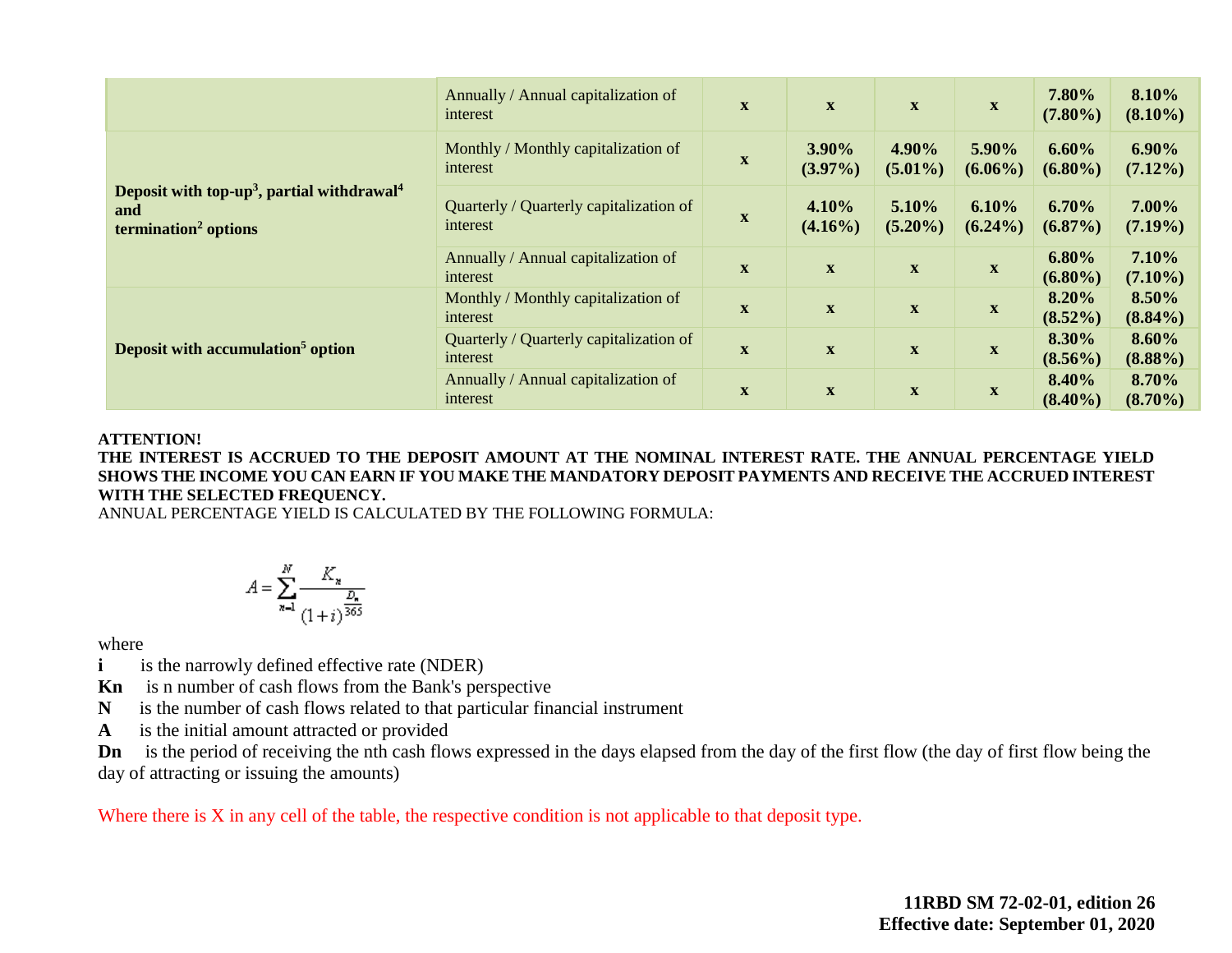|                                                                                                               | Annually / Annual capitalization of<br>interest     | $\mathbf X$               | $\mathbf{X}$        | $\mathbf{X}$        | $\mathbf{X}$        | 7.80%<br>$(7.80\%)$    | 8.10%<br>$(8.10\%)$    |
|---------------------------------------------------------------------------------------------------------------|-----------------------------------------------------|---------------------------|---------------------|---------------------|---------------------|------------------------|------------------------|
|                                                                                                               | Monthly / Monthly capitalization of<br>interest     | $\boldsymbol{\mathrm{X}}$ | 3.90%<br>$(3.97\%)$ | 4.90%<br>$(5.01\%)$ | 5.90%<br>$(6.06\%)$ | 6.60%<br>$(6.80\%)$    | $6.90\%$<br>$(7.12\%)$ |
| Deposit with top-up <sup>3</sup> , partial withdrawal <sup>4</sup><br>and<br>termination <sup>2</sup> options | Quarterly / Quarterly capitalization of<br>interest | $\mathbf X$               | 4.10%<br>$(4.16\%)$ | 5.10%<br>$(5.20\%)$ | 6.10%<br>$(6.24\%)$ | 6.70%<br>$(6.87\%)$    | 7.00%<br>$(7.19\%)$    |
|                                                                                                               | Annually / Annual capitalization of<br>interest     | $\mathbf X$               | $\mathbf{X}$        | $\mathbf X$         | $\mathbf X$         | $6.80\%$<br>$(6.80\%)$ | 7.10%<br>$(7.10\%)$    |
| Deposit with accumulation <sup>5</sup> option                                                                 | Monthly / Monthly capitalization of<br>interest     | $\mathbf{X}$              | $\mathbf X$         | $\mathbf X$         | $\mathbf X$         | 8.20%<br>$(8.52\%)$    | 8.50%<br>$(8.84\%)$    |
|                                                                                                               | Quarterly / Quarterly capitalization of<br>interest | $\mathbf X$               | $\mathbf X$         | $\mathbf X$         | $\mathbf X$         | 8.30%<br>$(8.56\%)$    | 8.60%<br>$(8.88\%)$    |
|                                                                                                               | Annually / Annual capitalization of<br>interest     | $\mathbf X$               | $\mathbf X$         | $\mathbf X$         | X                   | 8.40%<br>$(8.40\%)$    | 8.70%<br>$(8.70\%)$    |

#### **ATTENTION!**

**THE INTEREST IS ACCRUED TO THE DEPOSIT AMOUNT AT THE NOMINAL INTEREST RATE. THE ANNUAL PERCENTAGE YIELD SHOWS THE INCOME YOU CAN EARN IF YOU MAKE THE MANDATORY DEPOSIT PAYMENTS AND RECEIVE THE ACCRUED INTEREST WITH THE SELECTED FREQUENCY.** 

ANNUAL PERCENTAGE YIELD IS CALCULATED BY THE FOLLOWING FORMULA:

$$
A = \sum_{n=1}^{N} \frac{K_n}{\frac{D_n}{(1+i)^{\frac{D_n}{365}}}}
$$

where

- **i** is the narrowly defined effective rate (NDER)
- **Kn** is n number of cash flows from the Bank's perspective
- **N** is the number of cash flows related to that particular financial instrument
- **A** is the initial amount attracted or provided

**Dn** is the period of receiving the nth cash flows expressed in the days elapsed from the day of the first flow (the day of first flow being the day of attracting or issuing the amounts)

Where there is X in any cell of the table, the respective condition is not applicable to that deposit type.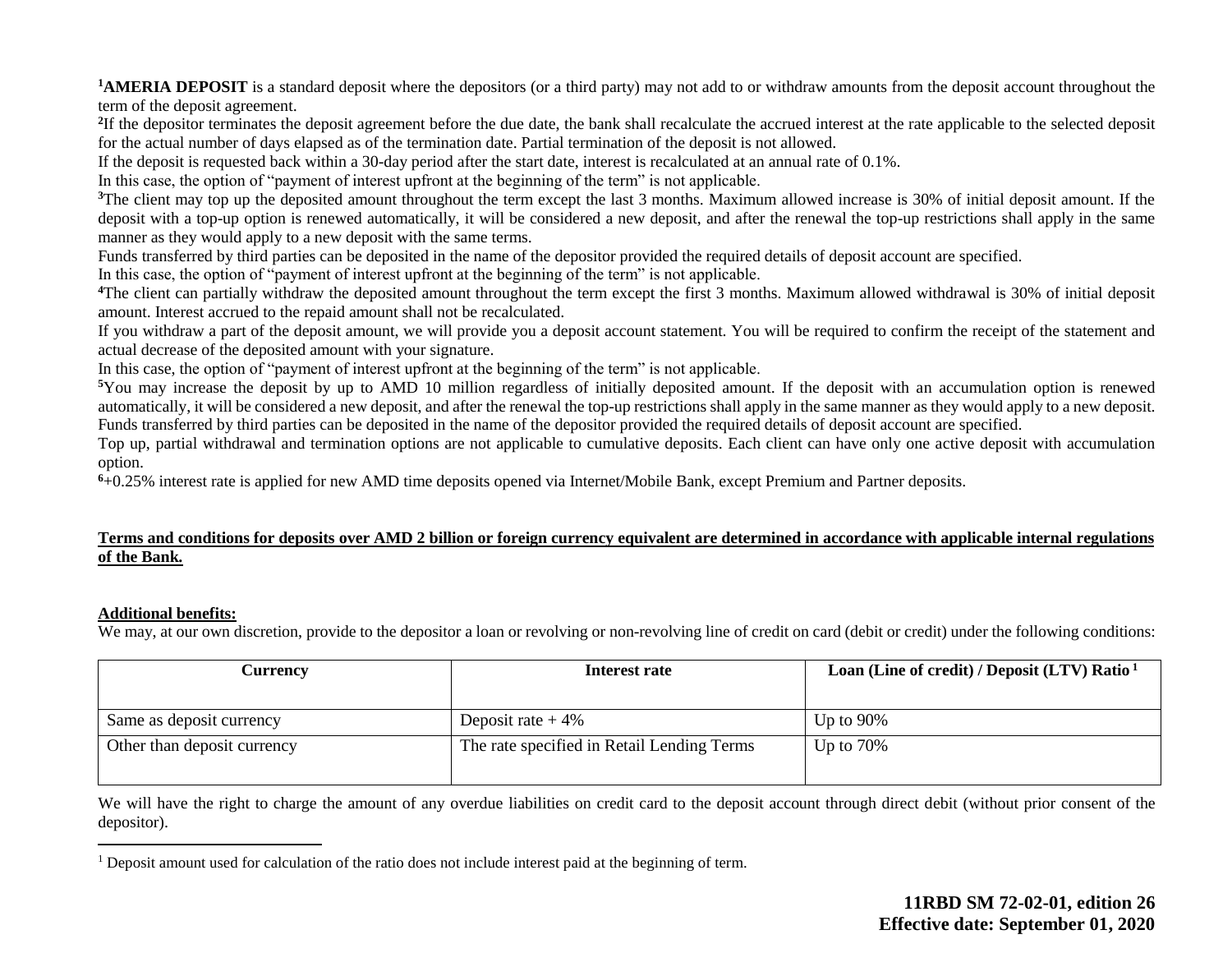**1AMERIA DEPOSIT** is a standard deposit where the depositors (or a third party) may not add to or withdraw amounts from the deposit account throughout the term of the deposit agreement.

<sup>2</sup>If the depositor terminates the deposit agreement before the due date, the bank shall recalculate the accrued interest at the rate applicable to the selected deposit for the actual number of days elapsed as of the termination date. Partial termination of the deposit is not allowed.

If the deposit is requested back within a 30-day period after the start date, interest is recalculated at an annual rate of 0.1%.

In this case, the option of "payment of interest upfront at the beginning of the term" is not applicable.

<sup>3</sup>The client may top up the deposited amount throughout the term except the last 3 months. Maximum allowed increase is 30% of initial deposit amount. If the deposit with a top-up option is renewed automatically, it will be considered a new deposit, and after the renewal the top-up restrictions shall apply in the same manner as they would apply to a new deposit with the same terms.

Funds transferred by third parties can be deposited in the name of the depositor provided the required details of deposit account are specified.

In this case, the option of "payment of interest upfront at the beginning of the term" is not applicable.

**<sup>4</sup>**The client can partially withdraw the deposited amount throughout the term except the first 3 months. Maximum allowed withdrawal is 30% of initial deposit amount. Interest accrued to the repaid amount shall not be recalculated.

If you withdraw a part of the deposit amount, we will provide you a deposit account statement. You will be required to confirm the receipt of the statement and actual decrease of the deposited amount with your signature.

In this case, the option of "payment of interest upfront at the beginning of the term" is not applicable.

**<sup>5</sup>**You may increase the deposit by up to AMD 10 million regardless of initially deposited amount. If the deposit with an accumulation option is renewed automatically, it will be considered a new deposit, and after the renewal the top-up restrictions shall apply in the same manner as they would apply to a new deposit. Funds transferred by third parties can be deposited in the name of the depositor provided the required details of deposit account are specified.

Top up, partial withdrawal and termination options are not applicable to cumulative deposits. Each client can have only one active deposit with accumulation option.

**<sup>6</sup>**+0.25% interest rate is applied for new AMD time deposits opened via Internet/Mobile Bank, except Premium and Partner deposits.

#### **Terms and conditions for deposits over AMD 2 billion or foreign currency equivalent are determined in accordance with applicable internal regulations of the Bank.**

#### **Additional benefits:**

 $\overline{a}$ 

We may, at our own discretion, provide to the depositor a loan or revolving or non-revolving line of credit on card (debit or credit) under the following conditions:

| <b>Currency</b>             | Interest rate                              | Loan (Line of credit) / Deposit (LTV) Ratio <sup>1</sup> |
|-----------------------------|--------------------------------------------|----------------------------------------------------------|
|                             |                                            |                                                          |
| Same as deposit currency    | Deposit rate $+4\%$                        | Up to $90\%$                                             |
| Other than deposit currency | The rate specified in Retail Lending Terms | Up to $70\%$                                             |

We will have the right to charge the amount of any overdue liabilities on credit card to the deposit account through direct debit (without prior consent of the depositor).

<sup>1</sup> Deposit amount used for calculation of the ratio does not include interest paid at the beginning of term.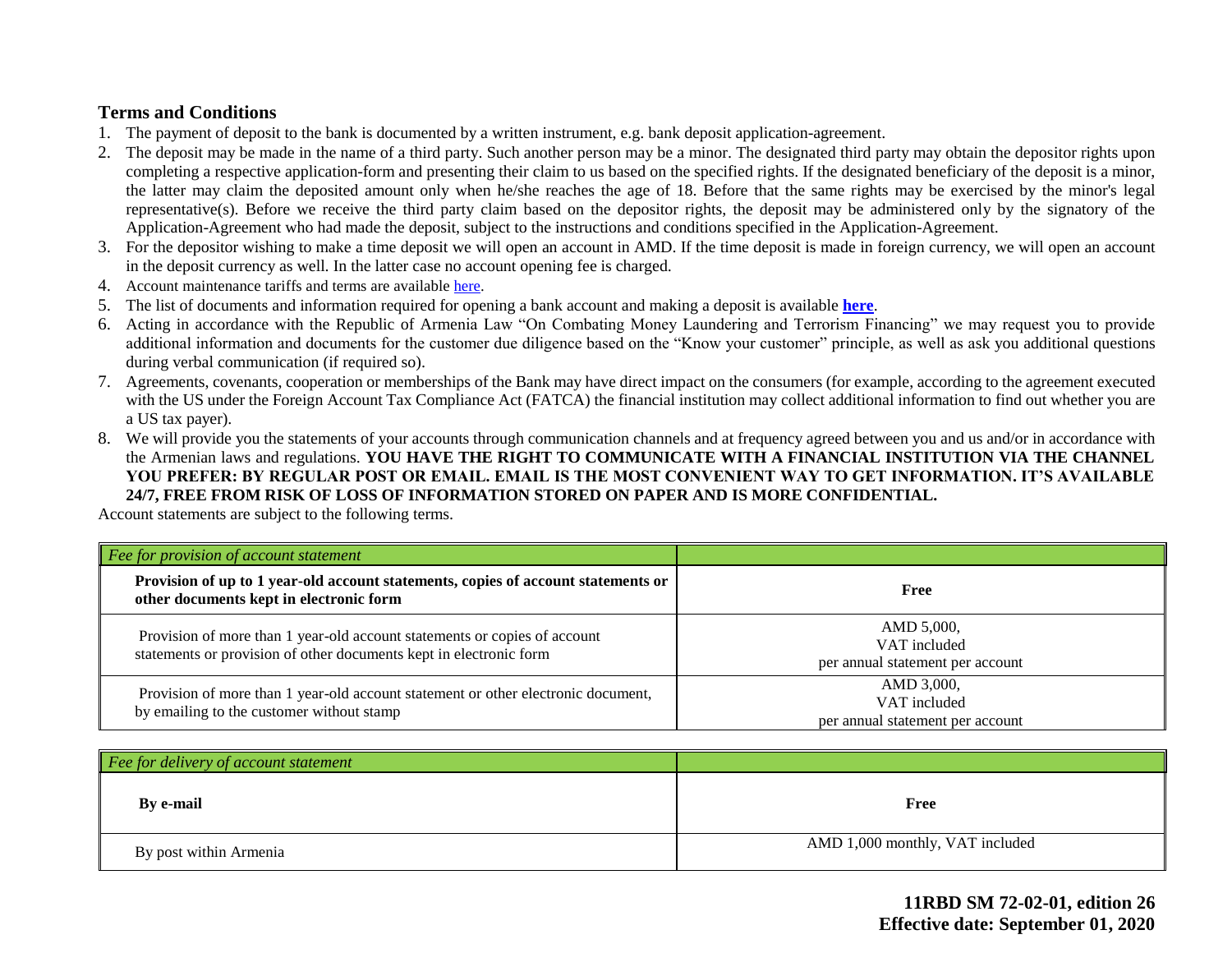### **Terms and Conditions**

- 1. The payment of deposit to the bank is documented by a written instrument, e.g. bank deposit application-agreement.
- 2. The deposit may be made in the name of a third party. Such another person may be a minor. The designated third party may obtain the depositor rights upon completing a respective application-form and presenting their claim to us based on the specified rights. If the designated beneficiary of the deposit is a minor, the latter may claim the deposited amount only when he/she reaches the age of 18. Before that the same rights may be exercised by the minor's legal representative(s). Before we receive the third party claim based on the depositor rights, the deposit may be administered only by the signatory of the Application-Agreement who had made the deposit, subject to the instructions and conditions specified in the Application-Agreement.
- 3. For the depositor wishing to make a time deposit we will open an account in AMD. If the time deposit is made in foreign currency, we will open an account in the deposit currency as well. In the latter case no account opening fee is charged.
- 4. Account maintenance tariffs and terms are availabl[e here.](https://ameriabank.am/content.aspx?id=openning+and+service+of+bank+accounts+(retail)&page=99&itm=account&lang=28)
- 5. The list of documents and information required for opening a bank account and making a deposit is available **[here](https://ameriabank.am/userfiles/file/Account_openning_required_documents_2.pdf)**.
- 6. Acting in accordance with the Republic of Armenia Law "On Combating Money Laundering and Terrorism Financing" we may request you to provide additional information and documents for the customer due diligence based on the "Know your customer" principle, as well as ask you additional questions during verbal communication (if required so).
- 7. Agreements, covenants, cooperation or memberships of the Bank may have direct impact on the consumers (for example, according to the agreement executed with the US under the Foreign Account Tax Compliance Act (FATCA) the financial institution may collect additional information to find out whether you are a US tax payer).
- 8. We will provide you the statements of your accounts through communication channels and at frequency agreed between you and us and/or in accordance with the Armenian laws and regulations. **YOU HAVE THE RIGHT TO COMMUNICATE WITH A FINANCIAL INSTITUTION VIA THE CHANNEL YOU PREFER: BY REGULAR POST OR EMAIL. EMAIL IS THE MOST CONVENIENT WAY TO GET INFORMATION. IT'S AVAILABLE 24/7, FREE FROM RISK OF LOSS OF INFORMATION STORED ON PAPER AND IS MORE CONFIDENTIAL.**

Account statements are subject to the following terms.

| $\vert$ Fee for provision of account statement                                                                                                  |                                                                |
|-------------------------------------------------------------------------------------------------------------------------------------------------|----------------------------------------------------------------|
| Provision of up to 1 year-old account statements, copies of account statements or<br>other documents kept in electronic form                    | Free                                                           |
| Provision of more than 1 year-old account statements or copies of account<br>statements or provision of other documents kept in electronic form | AMD 5,000,<br>VAT included<br>per annual statement per account |
| Provision of more than 1 year-old account statement or other electronic document,<br>by emailing to the customer without stamp                  | AMD 3,000,<br>VAT included<br>per annual statement per account |

| Fee for delivery of account statement |                                 |
|---------------------------------------|---------------------------------|
| By e-mail                             | Free                            |
| By post within Armenia                | AMD 1,000 monthly, VAT included |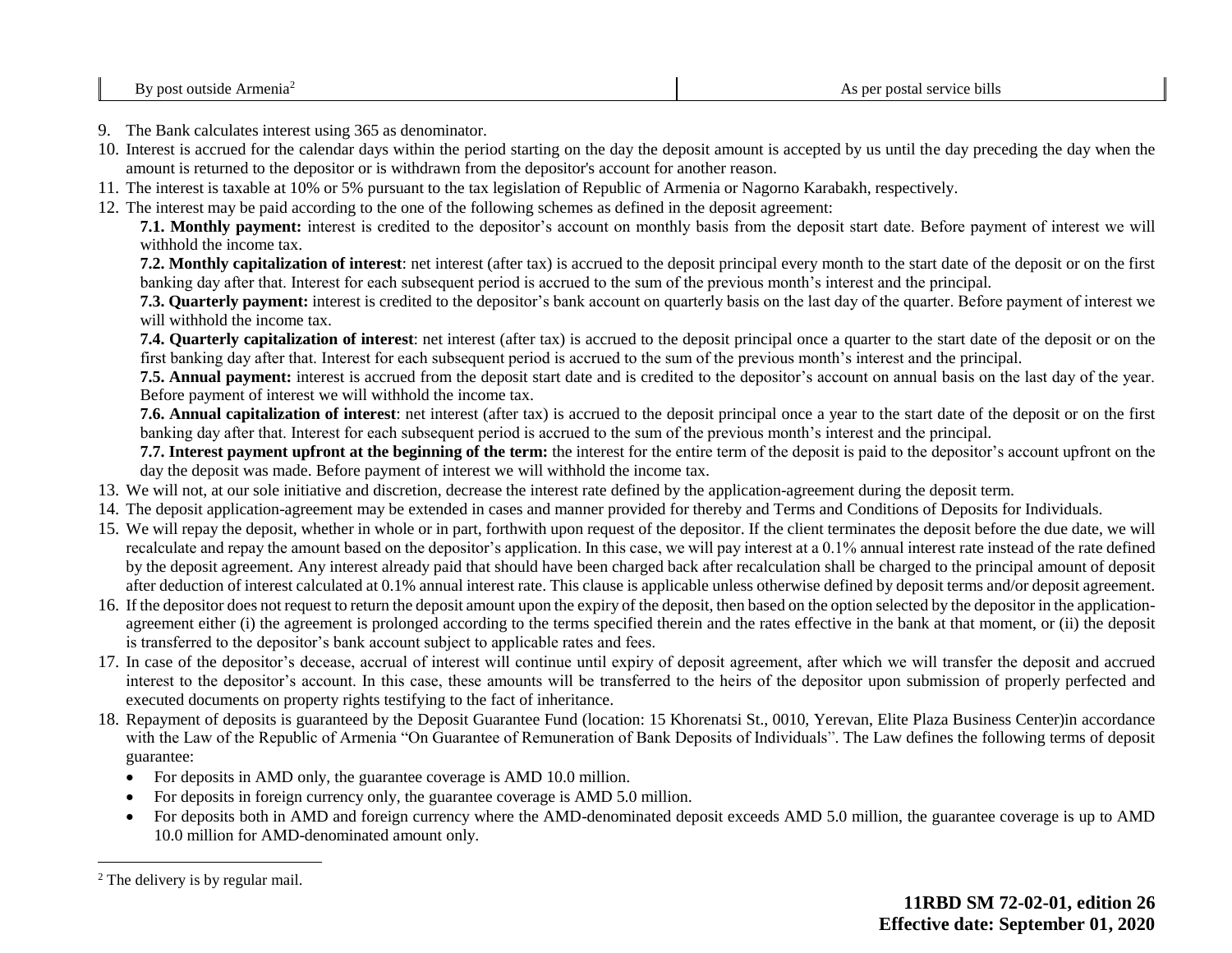- 9. The Bank calculates interest using 365 as denominator.
- 10. Interest is accrued for the calendar days within the period starting on the day the deposit amount is accepted by us until the day preceding the day when the amount is returned to the depositor or is withdrawn from the depositor's account for another reason.
- 11. The interest is taxable at 10% or 5% pursuant to the tax legislation of Republic of Armenia or Nagorno Karabakh, respectively.
- 12. The interest may be paid according to the one of the following schemes as defined in the deposit agreement:

**7.1. Monthly payment:** interest is credited to the depositor's account on monthly basis from the deposit start date. Before payment of interest we will withhold the income tax.

**7.2. Monthly capitalization of interest**: net interest (after tax) is accrued to the deposit principal every month to the start date of the deposit or on the first banking day after that. Interest for each subsequent period is accrued to the sum of the previous month's interest and the principal.

**7.3. Quarterly payment:** interest is credited to the depositor's bank account on quarterly basis on the last day of the quarter. Before payment of interest we will withhold the income tax.

**7.4. Quarterly capitalization of interest**: net interest (after tax) is accrued to the deposit principal once a quarter to the start date of the deposit or on the first banking day after that. Interest for each subsequent period is accrued to the sum of the previous month's interest and the principal.

**7.5. Annual payment:** interest is accrued from the deposit start date and is credited to the depositor's account on annual basis on the last day of the year. Before payment of interest we will withhold the income tax.

**7.6. Annual capitalization of interest**: net interest (after tax) is accrued to the deposit principal once a year to the start date of the deposit or on the first banking day after that. Interest for each subsequent period is accrued to the sum of the previous month's interest and the principal.

**7.7. Interest payment upfront at the beginning of the term:** the interest for the entire term of the deposit is paid to the depositor's account upfront on the day the deposit was made. Before payment of interest we will withhold the income tax.

- 13. We will not, at our sole initiative and discretion, decrease the interest rate defined by the application-agreement during the deposit term.
- 14. The deposit application-agreement may be extended in cases and manner provided for thereby and Terms and Conditions of Deposits for Individuals.
- 15. We will repay the deposit, whether in whole or in part, forthwith upon request of the depositor. If the client terminates the deposit before the due date, we will recalculate and repay the amount based on the depositor's application. In this case, we will pay interest at a 0.1% annual interest rate instead of the rate defined by the deposit agreement. Any interest already paid that should have been charged back after recalculation shall be charged to the principal amount of deposit after deduction of interest calculated at 0.1% annual interest rate. This clause is applicable unless otherwise defined by deposit terms and/or deposit agreement.
- 16. If the depositor does not request to return the deposit amount upon the expiry of the deposit, then based on the option selected by the depositor in the applicationagreement either (i) the agreement is prolonged according to the terms specified therein and the rates effective in the bank at that moment, or (ii) the deposit is transferred to the depositor's bank account subject to applicable rates and fees.
- 17. In case of the depositor's decease, accrual of interest will continue until expiry of deposit agreement, after which we will transfer the deposit and accrued interest to the depositor's account. In this case, these amounts will be transferred to the heirs of the depositor upon submission of properly perfected and executed documents on property rights testifying to the fact of inheritance.
- 18. Repayment of deposits is guaranteed by the Deposit Guarantee Fund (location: 15 Khorenatsi St., 0010, Yerevan, Elite Plaza Business Center)in accordance with the Law of the Republic of Armenia "On Guarantee of Remuneration of Bank Deposits of Individuals". The Law defines the following terms of deposit guarantee:
	- For deposits in AMD only, the guarantee coverage is AMD 10.0 million.
	- For deposits in foreign currency only, the guarantee coverage is AMD 5.0 million.
	- For deposits both in AMD and foreign currency where the AMD-denominated deposit exceeds AMD 5.0 million, the guarantee coverage is up to AMD 10.0 million for AMD-denominated amount only.

 $\overline{a}$ 

<sup>2</sup> The delivery is by regular mail.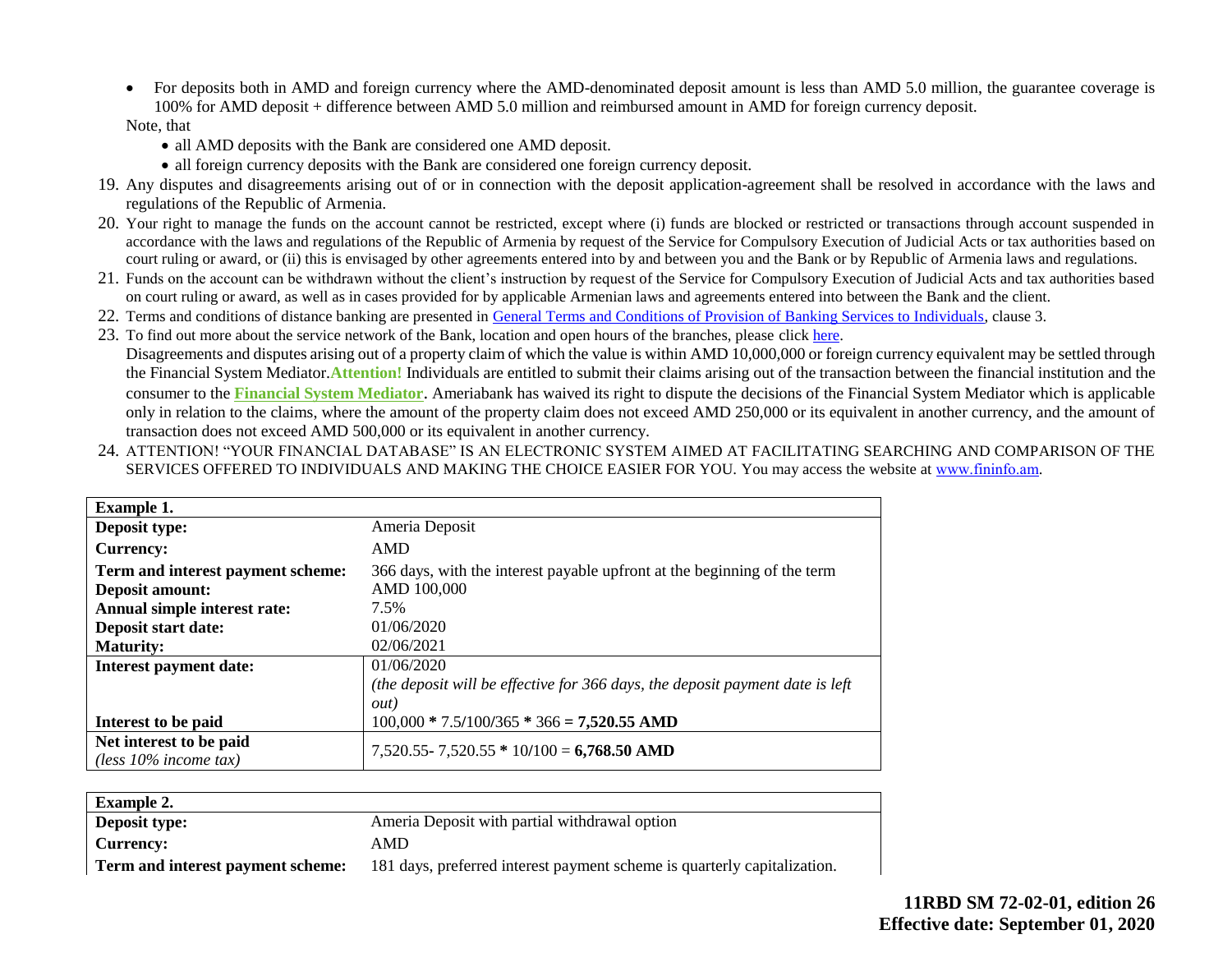• For deposits both in AMD and foreign currency where the AMD-denominated deposit amount is less than AMD 5.0 million, the guarantee coverage is 100% for AMD deposit + difference between AMD 5.0 million and reimbursed amount in AMD for foreign currency deposit.

#### Note, that

- all AMD deposits with the Bank are considered one AMD deposit.
- all foreign currency deposits with the Bank are considered one foreign currency deposit.
- 19. Any disputes and disagreements arising out of or in connection with the deposit application-agreement shall be resolved in accordance with the laws and regulations of the Republic of Armenia.
- 20. Your right to manage the funds on the account cannot be restricted, except where (i) funds are blocked or restricted or transactions through account suspended in accordance with the laws and regulations of the Republic of Armenia by request of the Service for Compulsory Execution of Judicial Acts or tax authorities based on court ruling or award, or (ii) this is envisaged by other agreements entered into by and between you and the Bank or by Republic of Armenia laws and regulations.
- 21. Funds on the account can be withdrawn without the client's instruction by request of the Service for Compulsory Execution of Judicial Acts and tax authorities based on court ruling or award, as well as in cases provided for by applicable Armenian laws and agreements entered into between the Bank and the client.
- 22. Terms and conditions of distance banking are presented in [General Terms and Conditions of Provision of Banking Services to Individuals,](https://ameriabank.am/content.aspx?id=openning+and+service+of+bank+accounts+(retail)&page=99&itm=account&lang=28) clause 3.
- 23. To find out more about the service network of the Bank, location and open hours of the branches, please clic[k here.](https://ameriabank.am/infrastructure.aspx?lang=28) Disagreements and disputes arising out of a property claim of which the value is within AMD 10,000,000 or foreign currency equivalent may be settled through the Financial System Mediator.**Attention!** Individuals are entitled to submit their claims arising out of the transaction between the financial institution and the consumer to the **[Financial System Mediator](https://ameriabank.am/Page.aspx?id=423&lang=33)**. Ameriabank has waived its right to dispute the decisions of the Financial System Mediator which is applicable only in relation to the claims, where the amount of the property claim does not exceed AMD 250,000 or its equivalent in another currency, and the amount of transaction does not exceed AMD 500,000 or its equivalent in another currency.
- 24. ATTENTION! "YOUR FINANCIAL DATABASE" IS AN ELECTRONIC SYSTEM AIMED AT FACILITATING SEARCHING AND COMPARISON OF THE SERVICES OFFERED TO INDIVIDUALS AND MAKING THE CHOICE EASIER FOR YOU. You may access the website at www.fininfo.am.

| <b>Example 1.</b>                 |                                                                               |
|-----------------------------------|-------------------------------------------------------------------------------|
| Deposit type:                     | Ameria Deposit                                                                |
| <b>Currency:</b>                  | AMD                                                                           |
| Term and interest payment scheme: | 366 days, with the interest payable upfront at the beginning of the term      |
| <b>Deposit amount:</b>            | AMD 100,000                                                                   |
| Annual simple interest rate:      | 7.5%                                                                          |
| Deposit start date:               | 01/06/2020                                                                    |
| <b>Maturity:</b>                  | 02/06/2021                                                                    |
| Interest payment date:            | 01/06/2020                                                                    |
|                                   | (the deposit will be effective for 366 days, the deposit payment date is left |
|                                   | <i>out</i> )                                                                  |
| Interest to be paid               | $100,000 * 7.5/100/365 * 366 = 7,520.55$ AMD                                  |
| Net interest to be paid           | $7,520.55 - 7,520.55 * 10/100 = 6,768.50$ AMD                                 |
| (less $10\%$ income tax)          |                                                                               |

| <b>Example 2.</b>                 |                                                                          |
|-----------------------------------|--------------------------------------------------------------------------|
| <b>Deposit type:</b>              | Ameria Deposit with partial withdrawal option                            |
| Currency:                         | AMD                                                                      |
| Term and interest payment scheme: | 181 days, preferred interest payment scheme is quarterly capitalization. |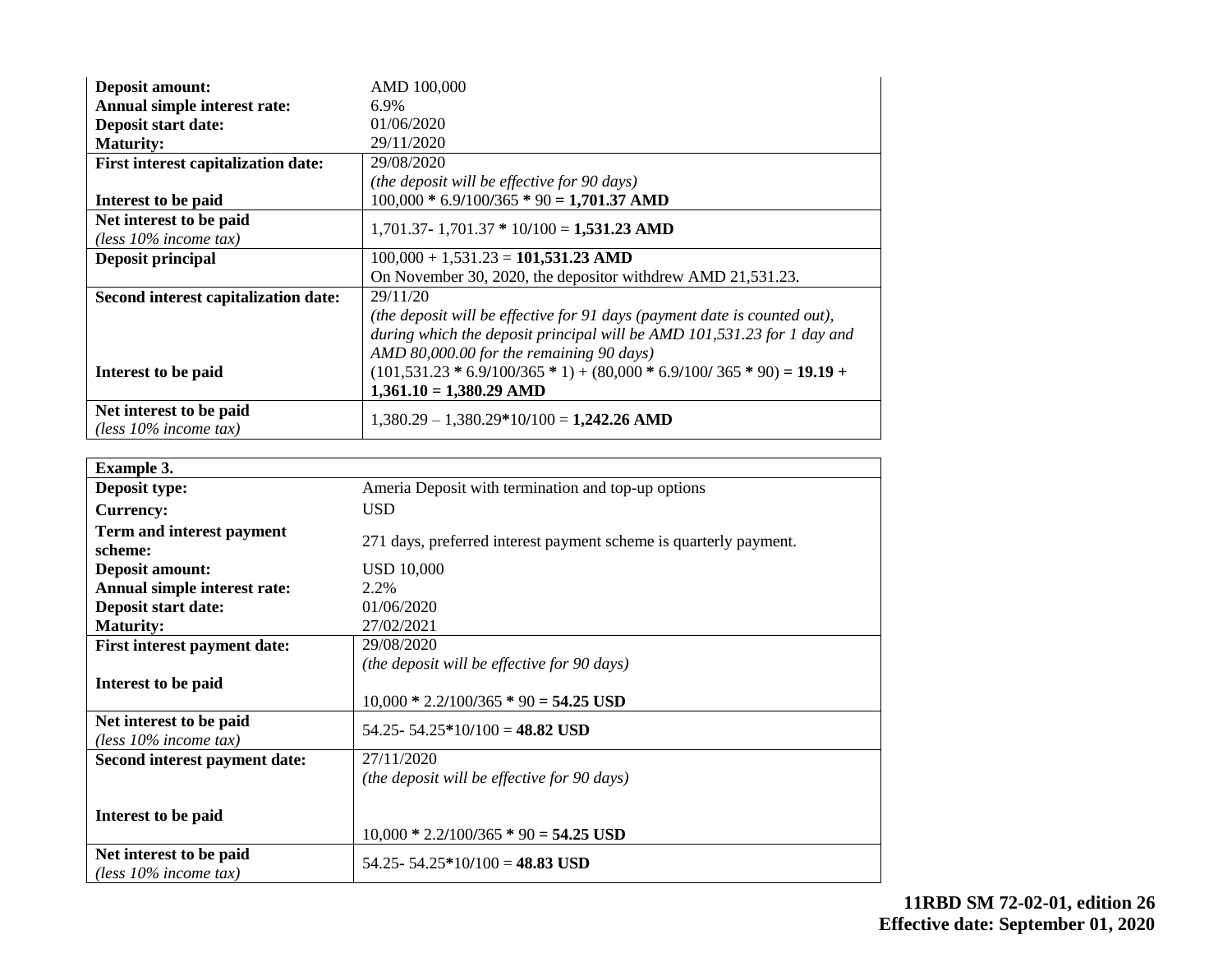| <b>Deposit amount:</b>                              | AMD 100,000                                                               |
|-----------------------------------------------------|---------------------------------------------------------------------------|
| Annual simple interest rate:                        | 6.9%                                                                      |
| <b>Deposit start date:</b>                          | 01/06/2020                                                                |
| <b>Maturity:</b>                                    | 29/11/2020                                                                |
| <b>First interest capitalization date:</b>          | 29/08/2020                                                                |
|                                                     | (the deposit will be effective for 90 days)                               |
| Interest to be paid                                 | $100,000 * 6.9/100/365 * 90 = 1,701.37$ AMD                               |
| Net interest to be paid                             | $1,701.37 - 1,701.37 * 10/100 = 1,531.23$ AMD                             |
| (less $10\%$ income tax)                            |                                                                           |
| <b>Deposit principal</b>                            | $100,000 + 1,531.23 = 101,531.23$ AMD                                     |
|                                                     | On November 30, 2020, the depositor withdrew AMD 21,531.23.               |
| Second interest capitalization date:                | 29/11/20                                                                  |
|                                                     | (the deposit will be effective for 91 days (payment date is counted out), |
|                                                     | during which the deposit principal will be AMD 101,531.23 for 1 day and   |
|                                                     | AMD 80,000.00 for the remaining 90 days)                                  |
| Interest to be paid                                 | $(101,531.23 * 6.9/100/365 * 1) + (80,000 * 6.9/100/365 * 90) = 19.19 +$  |
|                                                     | $1,361.10 = 1,380.29$ AMD                                                 |
| Net interest to be paid<br>(less $10\%$ income tax) | $1,380.29 - 1,380.29*10/100 = 1,242.26$ AMD                               |

| <b>Example 3.</b>                                   |                                                                   |
|-----------------------------------------------------|-------------------------------------------------------------------|
| Deposit type:                                       | Ameria Deposit with termination and top-up options                |
| <b>Currency:</b>                                    | <b>USD</b>                                                        |
| Term and interest payment<br>scheme:                | 271 days, preferred interest payment scheme is quarterly payment. |
| <b>Deposit amount:</b>                              | <b>USD 10,000</b>                                                 |
| Annual simple interest rate:                        | 2.2%                                                              |
| Deposit start date:                                 | 01/06/2020                                                        |
| <b>Maturity:</b>                                    | 27/02/2021                                                        |
| First interest payment date:                        | 29/08/2020                                                        |
|                                                     | (the deposit will be effective for 90 days)                       |
| Interest to be paid                                 |                                                                   |
|                                                     | $10,000 * 2.2/100/365 * 90 = 54.25$ USD                           |
| Net interest to be paid<br>(less $10\%$ income tax) | 54.25 - 54.25 * 10/100 = 48.82 USD                                |
| Second interest payment date:                       | 27/11/2020                                                        |
|                                                     | (the deposit will be effective for 90 days)                       |
|                                                     |                                                                   |
| Interest to be paid                                 |                                                                   |
|                                                     | $10,000 * 2.2/100/365 * 90 = 54.25$ USD                           |
| Net interest to be paid<br>(less $10\%$ income tax) | 54.25 - 54.25 * 10/100 = 48.83 USD                                |